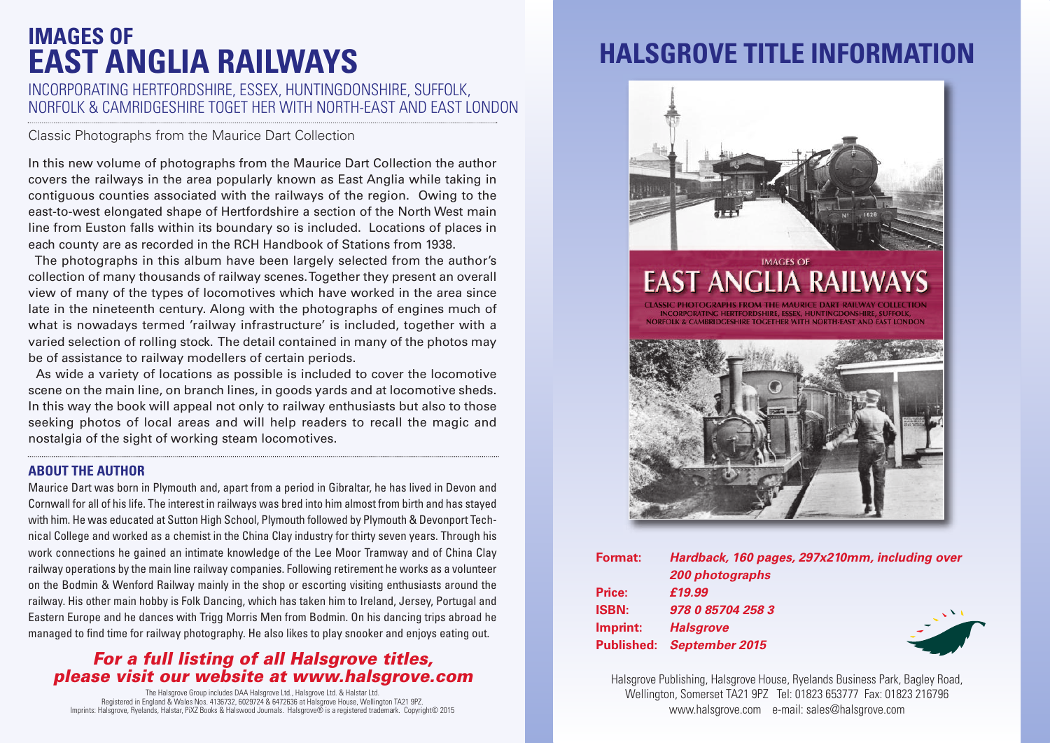# **IMAGES OF EAST ANGLIA RAILWAYS**

### INCORPORATING HERTFORDSHIRE, ESSEX, HUNTINGDONSHIRE, SUFFOLK, NORFOLK & CAMRIDGESHIRE TOGET HER WITH NORTH-EAST AND EAST LONDON

Classic Photographs from the Maurice Dart Collection

In this new volume of photographs from the Maurice Dart Collection the author covers the railways in the area popularly known as East Anglia while taking in contiguous counties associated with the railways of the region. Owing to the east-to-west elongated shape of Hertfordshire a section of the North West main line from Euston falls within its boundary so is included. Locations of places in each county are as recorded in the RCH Handbook of Stations from 1938.

The photographs in this album have been largely selected from the author's collection of many thousands of railway scenes.Together they present an overall view of many of the types of locomotives which have worked in the area since late in the nineteenth century. Along with the photographs of engines much of what is nowadays termed 'railway infrastructure' is included, together with a varied selection of rolling stock. The detail contained in many of the photos may be of assistance to railway modellers of certain periods.

As wide a variety of locations as possible is included to cover the locomotive scene on the main line, on branch lines, in goods yards and at locomotive sheds. In this way the book will appeal not only to railway enthusiasts but also to those seeking photos of local areas and will help readers to recall the magic and nostalgia of the sight of working steam locomotives.

#### **ABOUT THE AUTHOR**

Maurice Dart was born in Plymouth and, apart from a period in Gibraltar, he has lived in Devon and Cornwall for all of his life. The interest in railways was bred into him almost from birth and has stayed with him. He was educated at Sutton High School, Plymouth followed by Plymouth & Devonport Technical College and worked as a chemist in the China Clay industry for thirty seven years. Through his work connections he gained an intimate knowledge of the Lee Moor Tramway and of China Clay railway operations by the main line railway companies. Following retirement he works as a volunteer on the Bodmin & Wenford Railway mainly in the shop or escorting visiting enthusiasts around the railway. His other main hobby is Folk Dancing, which has taken him to Ireland, Jersey, Portugal and Eastern Europe and he dances with Trigg Morris Men from Bodmin. On his dancing trips abroad he managed to find time for railway photography. He also likes to play snooker and enjoys eating out.

### *For a full listing of all Halsgrove titles, please visit our website at www.halsgrove.com*

The Halsgrove Group includes DAA Halsgrove Ltd., Halsgrove Ltd. & Halstar Ltd. Registered in England & Wales Nos. 4136732, 6029724 & 6472636 at Halsgrove House, Wellington TA21 9PZ. Imprints: Halsgrove, Ryelands, Halstar, PiXZ Books & Halswood Journals. Halsgrove® is a registered trademark. Copyright© 2015

# **HALSGROVE TITLE INFORMATION**



| <b>Format:</b>    | Hardback, 160 pages, 297x210mm, including over |  |
|-------------------|------------------------------------------------|--|
|                   | 200 photographs                                |  |
| <b>Price:</b>     | £19.99                                         |  |
| <b>ISBN:</b>      | 978 0 85704 258 3                              |  |
| Imprint:          | <b>Halsgrove</b>                               |  |
| <b>Published:</b> | <b>September 2015</b>                          |  |

Halsgrove Publishing, Halsgrove House, Ryelands Business Park, Bagley Road, Wellington, Somerset TA21 9PZ Tel: 01823 653777 Fax: 01823 216796 www.halsgrove.com e-mail: sales@halsgrove.com